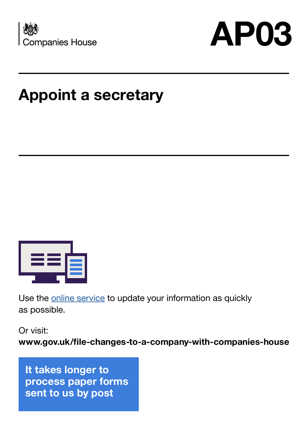



## **Appoint a secretary**



Use the **online service** to update your information as quickly as possible.

Or visit:

**www.gov.uk/file-changes-to-a-company-with-companies-house**

**It takes longer to process paper forms sent to us by post**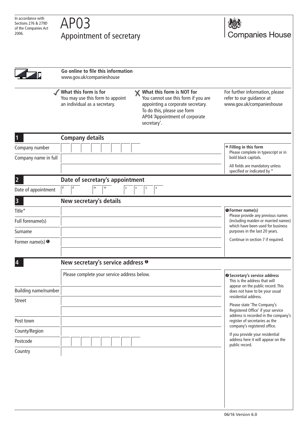## Appointment of secretary





**Go online to file this information** www.gov.uk/companieshouse

**What this form is for** You may use this form to appoint an individual as a secretary.

**What this form is NOT for** You cannot use this form if you are appointing a corporate secretary. To do this, please use form AP04 'Appointment of corporate secretary'.

For further information, please refer to our guidance at www.gov.uk/companieshouse

|                             | <b>Company details</b>                       |                                                                                                                |
|-----------------------------|----------------------------------------------|----------------------------------------------------------------------------------------------------------------|
| Company number              |                                              | $\rightarrow$ Filling in this form<br>Please complete in typescript or in                                      |
| Company name in full        |                                              | bold black capitals.                                                                                           |
|                             |                                              | All fields are mandatory unless<br>specified or indicated by *                                                 |
| $\overline{2}$              | Date of secretary's appointment              |                                                                                                                |
| Date of appointment         | m<br>$\mathsf{d}$<br>m<br>d                  |                                                                                                                |
| 3                           | New secretary's details                      |                                                                                                                |
| Title*                      |                                              | <b>O</b> Former name(s)<br>Please provide any previous names                                                   |
| Full forename(s)            |                                              | (including maiden or married names)<br>which have been used for business                                       |
| Surname                     |                                              | purposes in the last 20 years.                                                                                 |
| Former name(s) $\bullet$    |                                              | Continue in section 7 if required.                                                                             |
|                             |                                              |                                                                                                                |
| $\overline{\mathbf{4}}$     | New secretary's service address <sup>®</sup> |                                                                                                                |
|                             | Please complete your service address below.  | <sup>2</sup> Secretary's service address<br>This is the address that will<br>appear on the public record. This |
| <b>Building name/number</b> |                                              | does not have to be your usual<br>residential address.                                                         |
| <b>Street</b>               |                                              | Please state 'The Company's                                                                                    |
|                             |                                              | Registered Office' if your service<br>address is recorded in the company's                                     |
| Post town                   |                                              | register of secretaries as the<br>company's registered office.                                                 |
| County/Region               |                                              | If you provide your residential                                                                                |
| Postcode                    |                                              | address here it will appear on the<br>public record.                                                           |
| Country                     |                                              |                                                                                                                |
|                             |                                              |                                                                                                                |
|                             |                                              |                                                                                                                |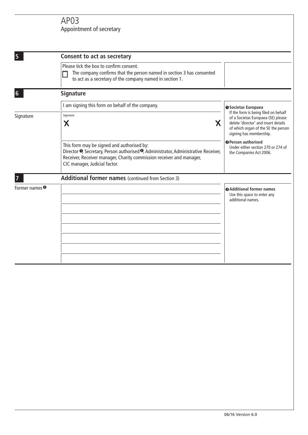## AP03 Appointment of secretary

| 5                                    | <b>Consent to act as secretary</b>                                                                                                                                                                                                                                 |                                                                                                                                                                                                                                                                                    |  |  |
|--------------------------------------|--------------------------------------------------------------------------------------------------------------------------------------------------------------------------------------------------------------------------------------------------------------------|------------------------------------------------------------------------------------------------------------------------------------------------------------------------------------------------------------------------------------------------------------------------------------|--|--|
|                                      | Please tick the box to confirm consent.<br>The company confirms that the person named in section 3 has consented<br>to act as a secretary of the company named in section 1.                                                                                       |                                                                                                                                                                                                                                                                                    |  |  |
| 6                                    | <b>Signature</b>                                                                                                                                                                                                                                                   |                                                                                                                                                                                                                                                                                    |  |  |
|                                      | I am signing this form on behalf of the company.                                                                                                                                                                                                                   | <b>O</b> Societas Europaea                                                                                                                                                                                                                                                         |  |  |
| Signature                            | Signature<br>X<br>X                                                                                                                                                                                                                                                | If the form is being filed on behalf<br>of a Societas Europaea (SE) please<br>delete 'director' and insert details<br>of which organ of the SE the person<br>signing has membership.<br><b>@Person authorised</b><br>Under either section 270 or 274 of<br>the Companies Act 2006. |  |  |
|                                      | This form may be signed and authorised by:<br>Director <sup>O</sup> , Secretary, Person authorised <sup>O</sup> , Administrator, Administrative Receiver,<br>Receiver, Receiver manager, Charity commission receiver and manager,<br>CIC manager, Judicial factor. |                                                                                                                                                                                                                                                                                    |  |  |
|                                      | Additional former names (continued from Section 3)                                                                                                                                                                                                                 |                                                                                                                                                                                                                                                                                    |  |  |
| Former names <sup><sup>9</sup></sup> |                                                                                                                                                                                                                                                                    | <b>@Additional former names</b><br>Use this space to enter any<br>additional names.                                                                                                                                                                                                |  |  |
|                                      |                                                                                                                                                                                                                                                                    |                                                                                                                                                                                                                                                                                    |  |  |